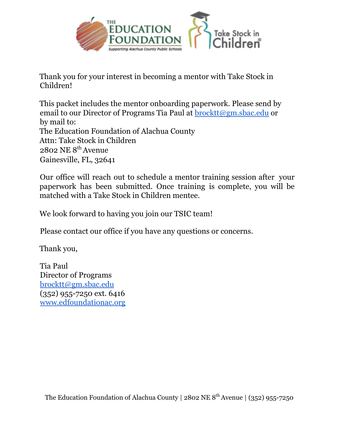

Thank you for your interest in becoming a mentor with Take Stock in Children!

This packet includes the mentor onboarding paperwork. Please send by email to our Director of Programs Tia Paul at **[brocktt@gm.sbac.edu](mailto:brocktt@gm.sbac.edu)** or by mail to: The Education Foundation of Alachua County Attn: Take Stock in Children  $2802$  NE  $8^{th}$  Avenue Gainesville, FL, 32641

Our office will reach out to schedule a mentor training session after your paperwork has been submitted. Once training is complete, you will be matched with a Take Stock in Children mentee.

We look forward to having you join our TSIC team!

Please contact our office if you have any questions or concerns.

Thank you,

Tia Paul Director of Programs [brocktt@gm.sbac.edu](mailto:brocktt@gm.sbac.edu) (352) 955-7250 ext. 6416 [www.edfoundationac.org](http://www.edfoundationac.org)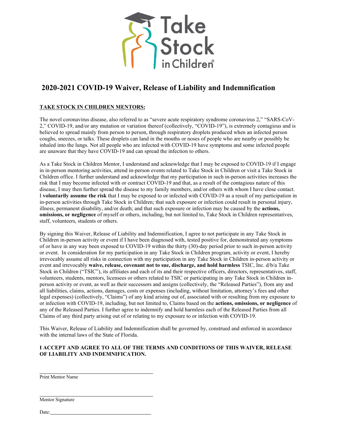

# **2020-2021 COVID-19 Waiver, Release of Liability and Indemnification**

### **TAKE STOCK IN CHILDREN MENTORS:**

The novel coronavirus disease, also referred to as "severe acute respiratory syndrome coronavirus 2," "SARS-CoV-2," COVID-19, and/or any mutation or variation thereof (collectively, "COVID-19"), is extremely contagious and is believed to spread mainly from person to person, through respiratory droplets produced when an infected person coughs, sneezes, or talks. These droplets can land in the mouths or noses of people who are nearby or possibly be inhaled into the lungs. Not all people who are infected with COVID-19 have symptoms and some infected people are unaware that they have COVID-19 and can spread the infection to others.

As a Take Stock in Children Mentor, I understand and acknowledge that I may be exposed to COVID-19 if I engage in in-person mentoring activities, attend in-person events related to Take Stock in Children or visit a Take Stock in Children office. I further understand and acknowledge that my participation in such in-person activities increases the risk that I may become infected with or contract COVID-19 and that, as a result of the contagious nature of this disease, I may then further spread the disease to my family members, and/or others with whom I have close contact. I **voluntarily assume the risk** that I may be exposed to or infected with COVID-19 as a result of my participation in in-person activities through Take Stock in Children; that such exposure or infection could result in personal injury, illness, permanent disability, and/or death; and that such exposure or infection may be caused by the **actions, omissions, or negligence** of myself or others, including, but not limited to, Take Stock in Children representatives, staff, volunteers, students or others.

By signing this Waiver, Release of Liability and Indemnification, I agree to not participate in any Take Stock in Children in-person activity or event if I have been diagnosed with, tested positive for, demonstrated any symptoms of or have in any way been exposed to COVID-19 within the thirty (30)-day period prior to such in-person activity or event. In consideration for my participation in any Take Stock in Children program, activity or event, I hereby irrevocably assume all risks in connection with my participation in any Take Stock in Children in-person activity or event and irrevocably **waive, release, covenant not to sue, discharge, and hold harmless** TSIC, Inc. d/b/a Take Stock in Children ("TSIC"), its affiliates and each of its and their respective officers, directors, representatives, staff, volunteers, students, mentors, licensees or others related to TSIC or participating in any Take Stock in Children inperson activity or event, as well as their successors and assigns (collectively, the "Released Parties"), from any and all liabilities, claims, actions, damages, costs or expenses (including, without limitation, attorney's fees and other legal expenses) (collectively, "Claims") of any kind arising out of, associated with or resulting from my exposure to or infection with COVID-19, including, but not limited to, Claims based on the **actions, omissions, or negligence** of any of the Released Parties. I further agree to indemnify and hold harmless each of the Released Parties from all Claims of any third party arising out of or relating to my exposure to or infection with COVID-19.

This Waiver, Release of Liability and Indemnification shall be governed by, construed and enforced in accordance with the internal laws of the State of Florida.

### **I ACCEPT AND AGREE TO ALL OF THE TERMS AND CONDITIONS OF THIS WAIVER, RELEASE OF LIABILITY AND INDEMNIFICATION.**

Print Mentor Name

Mentor Signature

Date: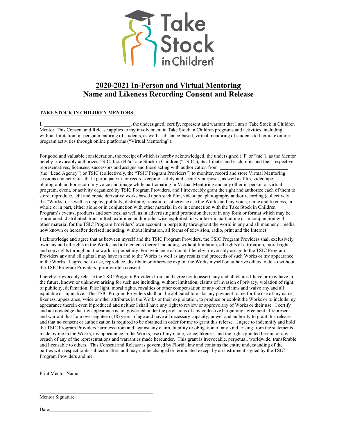

# **2020-2021 In-Person and Virtual Mentoring Name and Likeness Recording Consent and Release**

#### **TAKE STOCK IN CHILDREN MENTORS:**

I, the undersigned, certify, represent and warrant that I am a Take Stock in Children Mentor. This Consent and Release applies to my involvement in Take Stock in Children programs and activities, including, without limitation, in-person mentoring of students, as well as distance-based, virtual mentoring of students to facilitate online program activities through online platforms ("Virtual Mentoring").

For good and valuable consideration, the receipt of which is hereby acknowledged, the undersigned ("I" or "me"), as the Mentor hereby irrevocably authorizes TSIC, Inc. d/b/a Take Stock in Children ("TSIC"), its affiliates and each of its and their respective representatives, licensees, successors and assigns and those acting with authorization from \_\_ (the "Lead Agency") or TSIC (collectively, the "TSIC Program Providers") to monitor, record and store Virtual Mentoring sessions and activities that I participate in for record-keeping, safety and security purposes, as well as film, videotape, photograph and/or record my voice and image while participating in Virtual Mentoring and any other in-person or virtual program, event, or activity organized by TSIC Program Providers, and I irrevocably grant the right and authorize each of them to store, reproduce, edit and create derivative works based upon such film, videotape, photography and/or recording (collectively, the "Works"), as well as display, publicly, distribute, transmit or otherwise use the Works and my voice, name and likeness, in whole or in part, either alone or in conjunction with other material in or in connection with the Take Stock in Children Program's events, products and services, as well as in advertising and promotion thereof in any form or format which may be

reproduced, distributed, transmitted, exhibited and/or otherwise exploited, in whole or in part, alone or in conjunction with other material for the TSIC Program Providers' own account in perpetuity throughout the world in any and all manner or media now known or hereafter devised including, without limitation, all forms of television, radio, print and the Internet.

I acknowledge and agree that as between myself and the TSIC Program Providers, the TSIC Program Providers shall exclusively own any and all rights in the Works and all elements thereof including, without limitation, all rights of attribution, moral rights and copyrights throughout the world in perpetuity. For avoidance of doubt, I hereby irrevocably assign to the TSIC Program Providers any and all rights I may have in and to the Works as well as any results and proceeds of such Works or my appearance in the Works. I agree not to use, reproduce, distribute or otherwise exploit the Works myself or authorize others to do so without the TSIC Program Providers' prior written consent.

I hereby irrevocably release the TSIC Program Providers from, and agree not to assert, any and all claims I have or may have in the future, known or unknown arising for such use including, without limitation, claims of invasion of privacy, violation of right of publicity, defamation, false light, moral rights, royalties or other compensation or any other claims and waive any and all equitable or injunctive. The TSIC Program Providers shall not be obligated to make any payment to me for the use of my name, likeness, appearance, voice or other attributes in the Works or their exploitation, to produce or exploit the Works or to include my appearance therein even if produced and neither I shall have any right to review or approve any of Works or their use. I certify and acknowledge that my appearance is not governed under the provisions of any collective bargaining agreement. I represent and warrant that I am over eighteen (18) years of age and have all necessary capacity, power and authority to grant this release and that no consent or authorization is required to be obtained in order for me to grant this release. I agree to indemnify and hold the TSIC Program Providers harmless from and against any claim, liability or obligation of any kind arising from the statements made by me in the Works, my appearance in the Works, use of my name, voice, likeness and the rights granted herein, or any a breach of any of the representations and warranties made hereunder. This grant is irrevocable, perpetual, worldwide, transferable and licensable to others. This Consent and Release is governed by Florida law and contains the entire understanding of the parties with respect to its subject matter, and may not be changed or terminated except by an instrument signed by the TSIC Program Providers and me.

Print Mentor Name

Mentor Signature

Date: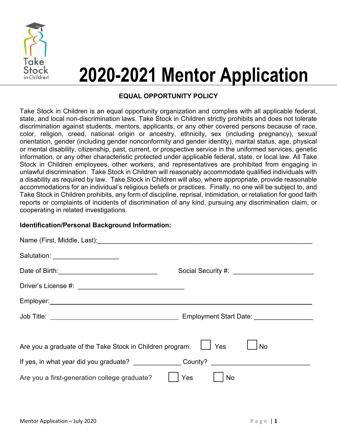

# **2020-2021 Mentor Application**

## **EQUAL OPPORTUNITY POLICY**

Take Stock in Children is an equal opportunity organization and complies with all applicable federal, state, and local non-discrimination laws. Take Stock in Children strictly prohibits and does not tolerate discrimination against students, mentors, applicants, or any other covered persons because of race, color, religion, creed, national origin or ancestry, ethnicity, sex (including pregnancy), sexual orientation, gender (including gender nonconformity and gender identity), marital status, age, physical or mental disability, citizenship, past, current, or prospective service in the uniformed services, genetic information, or any other characteristic protected under applicable federal, state, or local law. All Take Stock in Children employees, other workers, and representatives are prohibited from engaging in unlawful discrimination. Take Stock in Children will reasonably accommodate qualified individuals with a disability as required by law. Take Stock in Children will also, where appropriate, provide reasonable accommodations for an individual's religious beliefs or practices. Finally, no one will be subject to, and Take Stock in Children prohibits, any form of discipline, reprisal, intimidation, or retaliation for good faith reports or complaints of incidents of discrimination of any kind, pursuing any discrimination claim, or cooperating in related investigations.

### **Identification/Personal Background Information:**

| Salutation: ____________________                          |                  |
|-----------------------------------------------------------|------------------|
|                                                           |                  |
|                                                           |                  |
|                                                           |                  |
|                                                           |                  |
|                                                           |                  |
| Are you a graduate of the Take Stock in Children program: | Yes<br><b>No</b> |
| If yes, in what year did you graduate? County? County?    |                  |
| Are you a first-generation college graduate?              | Yes<br>No        |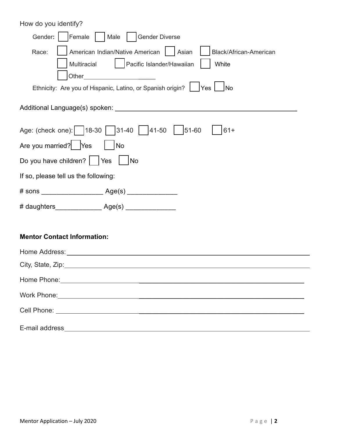| How do you identify?                                                                                                                                                                                                                                                                                                                                                |  |  |
|---------------------------------------------------------------------------------------------------------------------------------------------------------------------------------------------------------------------------------------------------------------------------------------------------------------------------------------------------------------------|--|--|
| Female     Male     Gender Diverse<br>Gender:                                                                                                                                                                                                                                                                                                                       |  |  |
| American Indian/Native American     Asian<br>Black/African-American<br>Race:<br>Pacific Islander/Hawaiian<br>Multiracial<br>White<br>Other the contract of the contract of the contract of the contract of the contract of the contract of the contract of the contract of the contract of the contract of the contract of the contract of the contract of the cont |  |  |
| Ethnicity: Are you of Hispanic, Latino, or Spanish origin?<br>∣Yes ∣<br><b>No</b>                                                                                                                                                                                                                                                                                   |  |  |
|                                                                                                                                                                                                                                                                                                                                                                     |  |  |
| Age: (check one): 18-30 31-40 41-50 51-60<br>$61+$<br>Are you married? Yes<br><b>No</b>                                                                                                                                                                                                                                                                             |  |  |
| Do you have children?     Yes<br>No                                                                                                                                                                                                                                                                                                                                 |  |  |
| If so, please tell us the following:                                                                                                                                                                                                                                                                                                                                |  |  |
|                                                                                                                                                                                                                                                                                                                                                                     |  |  |
|                                                                                                                                                                                                                                                                                                                                                                     |  |  |
| <b>Mentor Contact Information:</b>                                                                                                                                                                                                                                                                                                                                  |  |  |
| Home Address:                                                                                                                                                                                                                                                                                                                                                       |  |  |
| City, State, Zip:                                                                                                                                                                                                                                                                                                                                                   |  |  |
|                                                                                                                                                                                                                                                                                                                                                                     |  |  |
|                                                                                                                                                                                                                                                                                                                                                                     |  |  |
|                                                                                                                                                                                                                                                                                                                                                                     |  |  |
| E-mail address<br><u> 1980 - Johann Barn, fransk politik (f. 1980)</u>                                                                                                                                                                                                                                                                                              |  |  |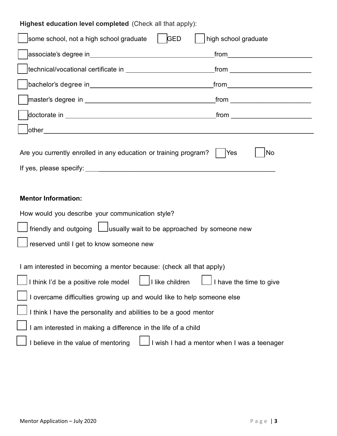| Highest education level completed (Check all that apply):                                                                                                                                                                            |  |  |  |
|--------------------------------------------------------------------------------------------------------------------------------------------------------------------------------------------------------------------------------------|--|--|--|
| GED<br>high school graduate<br>some school, not a high school graduate                                                                                                                                                               |  |  |  |
| _from______________________________                                                                                                                                                                                                  |  |  |  |
| technical/vocational certificate in __________________________<br>_from ____________________________                                                                                                                                 |  |  |  |
|                                                                                                                                                                                                                                      |  |  |  |
|                                                                                                                                                                                                                                      |  |  |  |
| _from ______________________________                                                                                                                                                                                                 |  |  |  |
|                                                                                                                                                                                                                                      |  |  |  |
| Are you currently enrolled in any education or training program?<br>Yes<br>No                                                                                                                                                        |  |  |  |
| <b>Mentor Information:</b>                                                                                                                                                                                                           |  |  |  |
| How would you describe your communication style?                                                                                                                                                                                     |  |  |  |
| $\mid$ friendly and outgoing $\mid \_$ usually wait to be approached by someone new                                                                                                                                                  |  |  |  |
| reserved until I get to know someone new                                                                                                                                                                                             |  |  |  |
| I am interested in becoming a mentor because: (check all that apply)<br>I like children<br>I think I'd be a positive role model<br>I have the time to give<br>I overcame difficulties growing up and would like to help someone else |  |  |  |
| I think I have the personality and abilities to be a good mentor                                                                                                                                                                     |  |  |  |
| I am interested in making a difference in the life of a child                                                                                                                                                                        |  |  |  |
| I believe in the value of mentoring<br>I wish I had a mentor when I was a teenager                                                                                                                                                   |  |  |  |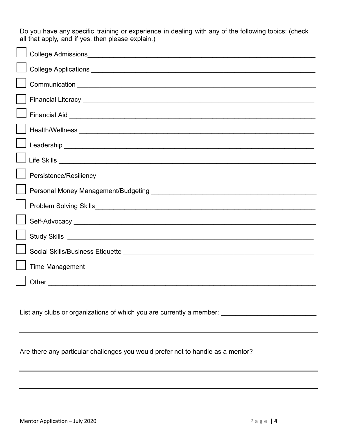Do you have any specific training or experience in dealing with any of the following topics: (check all that apply, and if yes, then please explain.)

List any clubs or organizations of which you are currently a member: \_\_\_\_\_\_\_\_\_\_\_\_\_\_\_\_\_\_\_\_\_\_\_\_\_\_

Are there any particular challenges you would prefer not to handle as a mentor?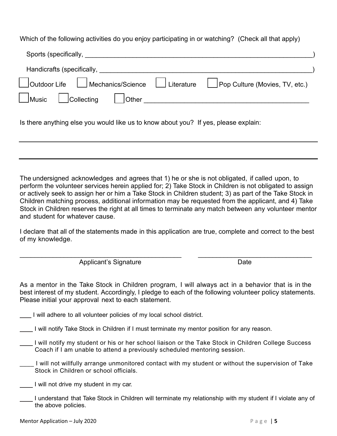Which of the following activities do you enjoy participating in or watching? (Check all that apply)

| Sports (specifically,                                                                                                                                                                                                          |  |  |  |
|--------------------------------------------------------------------------------------------------------------------------------------------------------------------------------------------------------------------------------|--|--|--|
| Handicrafts (specifically, and the control of the control of the control of the control of the control of the control of the control of the control of the control of the control of the control of the control of the control |  |  |  |
| Mechanics/Science   Literature   Pop Culture (Movies, TV, etc.)<br>Outdoor Life                                                                                                                                                |  |  |  |
| Collecting<br>$\Box$ Music $\Box$<br><b>Definition Defining to the proper</b>                                                                                                                                                  |  |  |  |
| Is there anything else you would like us to know about you? If yes, please explain:                                                                                                                                            |  |  |  |

The undersigned acknowledges and agrees that 1) he or she is not obligated, if called upon, to perform the volunteer services herein applied for; 2) Take Stock in Children is not obligated to assign or actively seek to assign her or him a Take Stock in Children student; 3) as part of the Take Stock in Children matching process, additional information may be requested from the applicant, and 4) Take Stock in Children reserves the right at all times to terminate any match between any volunteer mentor and student for whatever cause.

I declare that all of the statements made in this application are true, complete and correct to the best of my knowledge.

\_\_\_\_\_\_\_\_\_\_\_\_\_\_\_\_\_\_\_\_\_\_\_\_\_\_\_\_\_\_\_\_\_\_\_\_\_\_\_\_\_\_\_\_ \_\_\_\_\_\_\_\_\_\_\_\_\_\_\_\_\_\_\_\_\_\_\_\_\_\_\_\_\_\_\_ Applicant's Signature Date

As a mentor in the Take Stock in Children program, I will always act in a behavior that is in the best interest of my student. Accordingly, I pledge to each of the following volunteer policy statements. Please initial your approval next to each statement.

- I will adhere to all volunteer policies of my local school district.
- I will notify Take Stock in Children if I must terminate my mentor position for any reason.
- I will notify my student or his or her school liaison or the Take Stock in Children College Success Coach if I am unable to attend a previously scheduled mentoring session.
- \_\_\_\_ I will not willfully arrange unmonitored contact with my student or without the supervision of Take Stock in Children or school officials.
- I will not drive my student in my car.
- I understand that Take Stock in Children will terminate my relationship with my student if I violate any of the above policies.